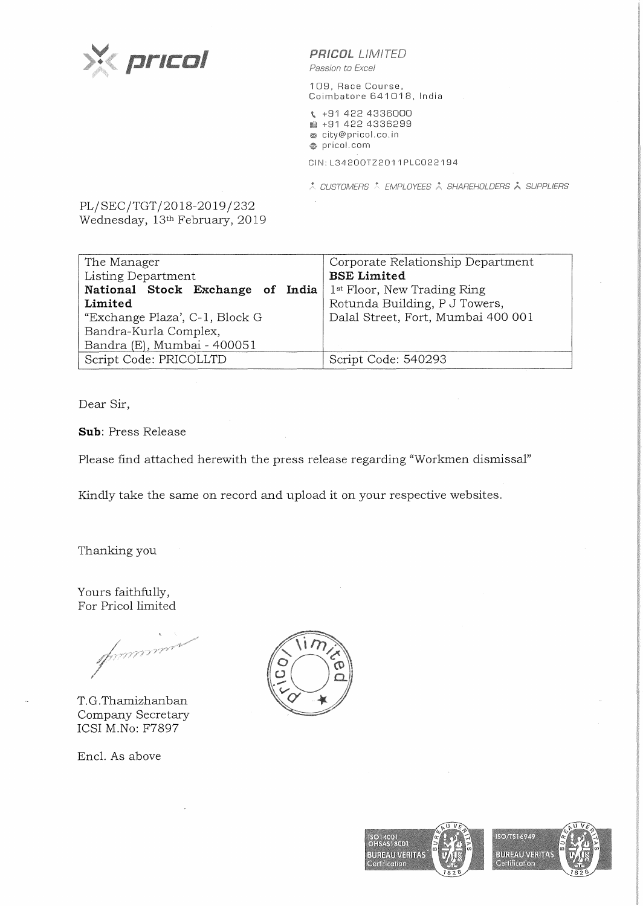

**PR/COL** LIMITED

*Passion to Excel* 

109, Race Course, Coimbatore 641018, India

\ +91 422 4336000 **1ml** +91 422 4336299 <sup>~</sup>city@pricol.co. in **e,** pricol. com CIN: L34200TZ2011 PLC022194

A CUSTOMERS A EMPLOYEES A SHAREHOLDERS A SUPPLIERS

PL/SEC/TGT/2018-2019/232 Wednesday, 13<sup>th</sup> February, 2019

| Corporate Relationship Department<br><b>BSE Limited</b><br>1 <sup>st</sup> Floor, New Trading Ring<br>Rotunda Building, P J Towers,<br>Dalal Street, Fort, Mumbai 400 001 |
|---------------------------------------------------------------------------------------------------------------------------------------------------------------------------|
| Script Code: 540293                                                                                                                                                       |
|                                                                                                                                                                           |

Dear Sir,

**Sub:** Press Release

Please find attached herewith the press release regarding "Workmen dismissal"

Kindly take the same on record and upload it on your respective websites.

Thanking you

Yours faithfully, For Pricol limited

spaaar

T.G.Thamizhanban Company Secretary ICSI M.No: F7897

Encl. As above



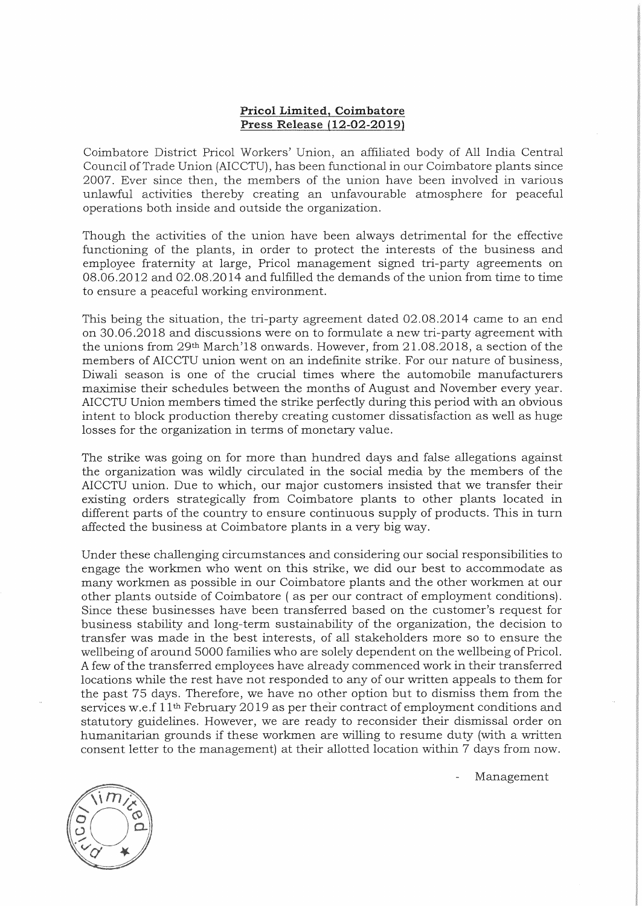## **Pricol Limited, Coimbatore Press Release (12-02-2019)**

Coimbatore District Pricol Workers' Union, an affiliated body of All India Central Council of Trade Union (AICCTU), has been functional in our Coimbatore plants since 2007. Ever since then, the members of the union have been involved in various unlawful activities thereby creating an unfavourable atmosphere for peaceful operations both inside and outside the organization.

Though the activities of the union have been always detrimental for the effective functioning of the plants, in order to protect the interests of the business and employee fraternity at large, Pricol management signed tri-party agreements on 08.06.2012 and 02.08.2014 and fulfilled the demands of the union from time to time to ensure a peaceful working environment.

This being the situation, the tri-party agreement dated 02.08.2014 came to an end on 30.06.2018 and discussions were on to formulate a new tri-party agreement with the unions from 29th March'l8 onwards. However, from 21.08.2018, a section of the members of AICCTU union went on an indefinite strike. For our nature of business, Diwali season is one of the crucial times where the automobile manufacturers maximise their schedules between the months of August and November every year. AICCTU Union members timed the strike perfectly during this period with an obvious intent to block production thereby creating customer dissatisfaction as well as huge losses for the organization in terms of monetary value.

The strike was going on for more than hundred days and false allegations against the organization was wildly circulated in the social media by the members of the AICCTU union. Due to which, our major customers insisted that we transfer their existing orders strategically from Coimbatore plants to other plants located in different parts of the country to ensure continuous supply of products. This in turn affected the business at Coimbatore plants in a very big way.

Under these challenging circumstances and considering our social responsibilities to engage the workmen who went on this strike, we did our best to accommodate as many workmen as possible in our Coimbatore plants and the other workmen at our other plants outside of Coimbatore (asper our contract of employment conditions). Since these businesses have been transferred based on the customer's request for business stability and long-term sustainability of the organization, the decision to transfer was made in the best interests, of all stakeholders more so to ensure the wellbeing of around 5000 families who are solely dependent on the wellbeing of Pricol. A few of the transferred employees have already commenced work in their transferred locations while the rest have not responded to any of our written appeals to them for the past 75 days. Therefore, we have no other option but to dismiss them from the services w.e.f  $11<sup>th</sup>$  February 2019 as per their contract of employment conditions and statutory guidelines. However, we are ready to reconsider their dismissal order on humanitarian grounds if these workmen are willing to resume duty (with a written consent letter to the management) at their allotted location within 7 days from now.

Management